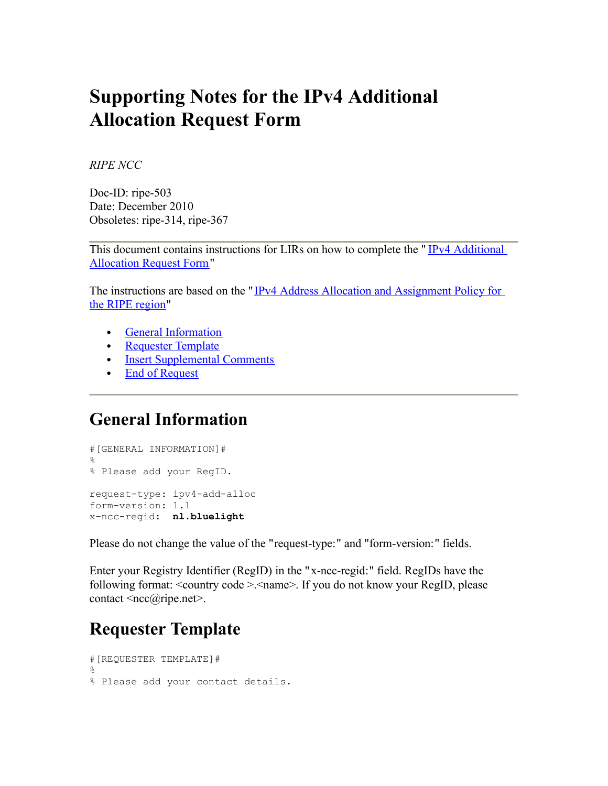# **Supporting Notes for the IPv4 Additional Allocation Request Form**

*RIPE NCC*

Doc-ID: ripe-503 Date: December 2010 Obsoletes: ripe-314, ripe-367

This document contains instructions for LIRs on how to complete the "IPv4 [Additional](http://www.ripe.net/ripe/docs/add-allocation.html) [Allocation](http://www.ripe.net/ripe/docs/add-allocation.html) Request Form"

The instructions are based on the " IPv4 Address Allocation and [Assignment](http://www.ripe.net/ripe/docs/add-allocation.html) Policy for the RIPE [region"](http://www.ripe.net/ripe/docs/add-allocation.html)

- General [Information](http://www.ripe.net/ripe/docs/add-allocation-support.html#general%23general)
- [Requester](http://www.ripe.net/ripe/docs/add-allocation-support.html#requester%23requester) Template
- Insert [Supplemental](http://www.ripe.net/ripe/docs/add-allocation-support.html#comments%23comments) Comments
- End of [Request](http://www.ripe.net/ripe/docs/add-allocation-support.html#end%23end)

#### **General Information**

#[GENERAL INFORMATION]#  $\approx$ % Please add your RegID. request-type: ipv4-add-alloc form-version: 1.1 x-ncc-regid: **nl.bluelight**

Please do not change the value of the "request-type:" and "form-version:" fields.

Enter your Registry Identifier (RegID) in the "x-ncc-regid:" field. RegIDs have the following format: <country code >.<name>. If you do not know your RegID, please contact <ncc@ripe.net>.

## **Requester Template**

```
#[REQUESTER TEMPLATE]#
\mathsf{Q}% Please add your contact details.
```